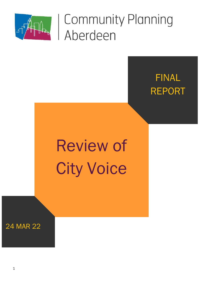

## FINAL REPORT

# Review of City Voice

24 MAR 22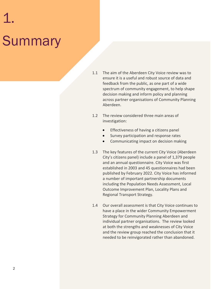# 1. **Summary**

- 1.1 The aim of the Aberdeen City Voice review was to ensure it is a useful and robust source of data and feedback from the public, as one part of a wide spectrum of community engagement, to help shape decision making and inform policy and planning across partner organisations of Community Planning Aberdeen.
- 1.2 The review considered three main areas of investigation:
	- Effectiveness of having a citizens panel
	- Survey participation and response rates
	- Communicating impact on decision making
- 1.3 The key features of the current City Voice (Aberdeen City's citizens panel) include a panel of 1,379 people and an annual questionnaire. City Voice was first established in 2003 and 45 questionnaires had been published by February 2022. City Voice has informed a number of important partnership documents including the Population Needs Assessment, Local Outcome Improvement Plan, Locality Plans and Regional Transport Strategy.
- 1.4 Our overall assessment is that City Voice continues to have a place in the wider Community Empowerment Strategy for Community Planning Aberdeen and individual partner organisations. The review looked at both the strengths and weaknesses of City Voice and the review group reached the conclusion that it needed to be reinvigorated rather than abandoned.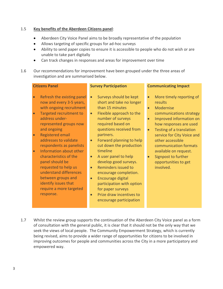### 1.5 **Key benefits of the Aberdeen Citizens panel**:

- Aberdeen City Voice Panel aims to be broadly representative of the population
- Allows targeting of specific groups for ad-hoc surveys
- Ability to send paper copies to ensure it is accessible to people who do not wish or are unable to take part digitally
- Can track changes in responses and areas for improvement over time
- 1.6 Our recommendations for improvement have been grouped under the three areas of investigation and are summarised below.

### **Citizens Panel**

### **Survey Participation**

- Refresh the existing panel now and every 3-5 years, with ongoing recruitment
- Targeted recruitment to address underrepresented groups now and ongoing
- Registered email addresses to validate respondents as panelists
- Information about other characteristics of the panel should be requested to help us understand differences between groups and identify issues that require a more targeted response.
- Surveys should be kept short and take no longer than 15 minutes
- Flexible approach to the number of surveys required based on questions received from partners.
- Forward planning to help cut down the production timeline
- A user panel to help develop good surveys.
- Reminders issued to encourage completion.
- Encourage digital participation with option for paper surveys
- Prize draw incentives to encourage participation

### **Communicating Impact**

- More timely reporting of results
- Modernise communications strategy
- Improved information on how responses are used
- Testing of a translation service for City Voice and other accessible communication formats available on request.
- Signpost to further opportunities to get involved.

1.7 Whilst the review group supports the continuation of the Aberdeen City Voice panel as a form of consultation with the general public, it is clear that it should not be the only way that we seek the views of local people. The Community Empowerment Strategy, which is currently being revised, aims to provide a wider range of opportunities for citizens to be involved in improving outcomes for people and communities across the City in a more participatory and empowered way.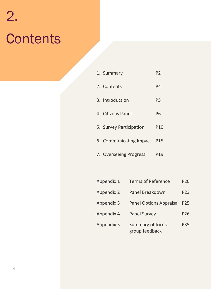# 2. **Contents**

| 1. Summary              | P <sub>2</sub>  |
|-------------------------|-----------------|
| 2. Contents             | P4              |
| 3. Introduction         | P <sub>5</sub>  |
| 4. Citizens Panel       | P6              |
| 5. Survey Participation | P <sub>10</sub> |
| 6. Communicating Impact | P15             |
| 7. Overseeing Progress  | P <sub>19</sub> |
|                         |                 |

| Appendix 1        | <b>Terms of Reference</b>          | <b>P20</b> |
|-------------------|------------------------------------|------------|
| <b>Appendix 2</b> | Panel Breakdown                    | P23        |
| <b>Appendix 3</b> | <b>Panel Options Appraisal</b>     | P25        |
| Appendix 4        | <b>Panel Survey</b>                | P26        |
| <b>Appendix 5</b> | Summary of focus<br>group feedback | P35        |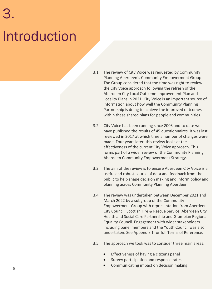# 3. Introduction

- 3.1 The review of City Voice was requested by Community Planning Aberdeen's Community Empowerment Group. The Group considered that the time was right to review the City Voice approach following the refresh of the Aberdeen City Local Outcome Improvement Plan and Locality Plans in 2021. City Voice is an important source of information about how well the Community Planning Partnership is doing to achieve the improved outcomes within these shared plans for people and communities.
- 3.2 City Voice has been running since 2003 and to date we have published the results of 45 questionnaires. It was last reviewed in 2017 at which time a number of changes were made. Four years later, this review looks at the effectiveness of the current City Voice approach. This forms part of a wider review of the Community Planning Aberdeen Community Empowerment Strategy.
- 3.3 The aim of the review is to ensure Aberdeen City Voice is a useful and robust source of data and feedback from the public to help shape decision making and inform policy and planning across Community Planning Aberdeen.
- 3.4 The review was undertaken between December 2021 and March 2022 by a subgroup of the Community Empowerment Group with representation from Aberdeen City Council, Scottish Fire & Rescue Service, Aberdeen City Health and Social Care Partnership and Grampian Regional Equality Council. Engagement with wider stakeholders including panel members and the Youth Council was also undertaken. See Appendix 1 for full Terms of Reference.
- 3.5 The approach we took was to consider three main areas:
	- Effectiveness of having a citizens panel
	- Survey participation and response rates
	- Communicating impact on decision making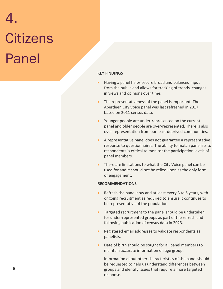# 4. **Citizens** Panel

### **KEY FINDINGS**

- Having a panel helps secure broad and balanced input from the public and allows for tracking of trends, changes in views and opinions over time.
- The representativeness of the panel is important. The Aberdeen City Voice panel was last refreshed in 2017 based on 2011 census data.
- Younger people are under-represented on the current panel and older people are over-represented. There is also over-representation from our least deprived communities.
- A representative panel does not guarantee a representative response to questionnaires. The ability to match panelists to respondents is critical to monitor the participation levels of panel members.
- There are limitations to what the City Voice panel can be used for and it should not be relied upon as the only form of engagement.

### **RECOMMENDATIONS**

- Refresh the panel now and at least every 3 to 5 years, with ongoing recruitment as required to ensure it continues to be representative of the population.
- Targeted recruitment to the panel should be undertaken for under-represented groups as part of the refresh and following publication of census data in 2023.
- Registered email addresses to validate respondents as panelists.
- Date of birth should be sought for all panel members to maintain accurate information on age group.

Information about other characteristics of the panel should be requested to help us understand differences between groups and identify issues that require a more targeted response.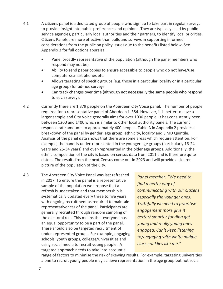- 4.1 A citizens panel is a dedicated group of people who sign up to take part in regular surveys to provide insight into public preferences and opinions. They are typically used by public service agencies, particularly local authorities and their partners, to identify local priorities. Citizens Panels are more effective than polls and surveys in supporting informed considerations from the public on policy issues due to the benefits listed below. See Appendix 3 for full options appraisal.
	- Panel broadly representative of the population (although the panel members who respond may not be).
	- Ability to send paper copies to ensure accessible to people who do not have/use computers/smart phones etc.
	- Allows targeting of specific groups (e.g. those in a particular locality or in a particular age group) for ad-hoc surveys
	- Can track changes over time (although not necessarily the same people who respond to each survey).
- 4.2 Currently there are 1,379 people on the Aberdeen City Voice panel. The number of people required for a representative panel of Aberdeen is 384. However, it is better to have a larger sample and City Voice generally aims for over 1000 people. It has consistently been between 1200 and 1400 which is similar to other local authority panels. The current response rate amounts to approximately 400 people. Table A in Appendix 2 provides a breakdown of the panel by gender, age group, ethnicity, locality and SIMD Quintile. Analysis of the panel data shows that there are some areas which require attention. For example, the panel is under-represented in the younger age groups (particularly 16-24 years and 25-34 years) and over-represented in the older age groups. Additionally, the ethnic composition of the city is based on census data from 2011 and is therefore quite dated. The results from the next Census come out in 2023 and will provide a clearer picture of the population of the City.
- 4.3 The Aberdeen City Voice Panel was last refreshed in 2017. To ensure the panel is a representative sample of the population we propose that a refresh is undertaken and that membership is systematically updated every three to five years with ongoing recruitment as required to maintain representativeness of the panel. Participants are generally recruited through random sampling of the electoral roll. This means that everyone has an equal opportunity to be a part of the panel. There should also be targeted recruitment of under-represented groups. For example, engaging schools, youth groups, colleges/universities and using social media to recruit young people. A targeted approach needs to take into account a

*Panel member: "We need to find a better way of communicating with our citizens especially the younger ones. Truthfully we need to prioritise engagement more give it better/ smarter funding get young and really young ones engaged. Can't keep listening to/engaging with white middle class crinklies like me."*

range of factors to minimise the risk of skewing results. For example, targeting universities alone to recruit young people may achieve representation in the age group but not social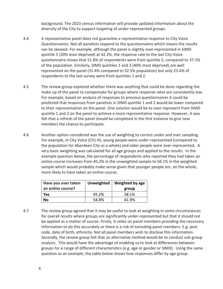background. The 2023 census information will provide updated information about the diversity of the City to support targeting of under-represented groups.

- 4.4 A representative panel does not guarantee a representative response to City Voice Questionnaires. Not all panelists respond to the questionnaires which means the results can be skewed. For example, although the panel is slightly over-represented in SIMD quintile 5 (20% least deprived) at 42.3%, the response rate to the last City Voice questionnaire shows that 51.8% of respondents were from quintile 5, compared to 37.1% of the population. Similarly, SIMD quintiles 1 and 2 (40% most deprived) are well represented on the panel (31.4% compared to 32.5% population) but only 23.4% of respondents to the last survey were from quintiles 1 and 2.
- 4.5 The review group explored whether there was anything that could be done regarding the make up of the panel to compensate for groups where response rates are consistently low. For example, based on analysis of responses to previous questionnaires it could be predicted that responses from panelists in SIMD quintile 1 and 2 would be lower compared to their representation on the panel. One solution would be to over-represent from SIMD quintile 1 and 2 on the panel to achieve a more representative response. However, it was felt that a refresh of the panel should be completed in the first instance to give new members the chance to participate.
- 4.6 Another option considered was the use of weighting to correct under and over sampling. For example, in City Voice (CV) 45, young people were under-represented (compared to the population for Aberdeen City as a whole) and older people were over-represented. A very basic weighting was calculated for all age groups and applied to the results. In the example question below, the percentage of respondents who reported they had taken an online course increases from 45.2% in the unweighted sample to 58.1% in the weighted sample which would probably make sense given that younger people are, on the whole, more likely to have taken an online course.

| Have you ever taken<br>an online course? | Unweighted | Weighted by age<br>group |
|------------------------------------------|------------|--------------------------|
| Yes                                      | 45.2%      | 58.1%                    |
| No                                       | 54.8%      | 41.9%                    |

4.7 The review group agreed that it may be useful to look at weighting in some circumstances for overall results where groups are significantly under-represented but that it should not be applied as a matter of course. Firstly, it relies on panel members providing the necessary information to do this accurately or there is a risk of excluding panel members. E.g. post code, date of birth, ethnicity. Not all panel members wish to disclose this information. Secondly, the review group felt that an alternative method would be to conduct sub-group analysis. This would have the advantage of enabling us to look at differences between groups for a range of different characteristics (e.g. age or gender or SIMD). Using the same question as an example, the table below shows how responses differ by age group.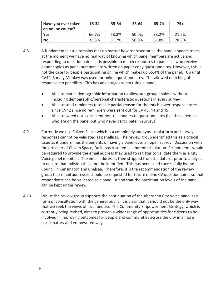| Have you ever taken<br>an online course? | 16-34 | 35-54 | 55-64 | 65-74 | $75+$ |
|------------------------------------------|-------|-------|-------|-------|-------|
| Yes                                      | 66.7% | 68.3% | 50.0% | 38.2% | 21.7% |
| <b>No</b>                                | 33.3% | 31.7% | 50.0% | 61.8% | 78.3% |

- 4.8 A fundamental issue remains that no matter how representative the panel appears to be, at the moment we have no real way of knowing which panel members are active and responding to questionnaires. It is possible to match responses to panelists who receive paper copies as panel numbers are written on paper copy questionnaires. However, this is not the case for people participating online which makes up 65.4% of the panel. Up until CV42, Survey Monkey was used for online questionnaires. This allowed matching of responses to panellists. This has advantages when using a panel:
	- Able to match demographic information to allow sub-group analysis without including demographic/personal characteristic questions in every survey
	- Able to send reminders (possible partial reason for the much lower response rates since CV42 since no reminders were sent out for CV 43, 44 and 45)
	- Able to 'weed out' consistent non-responders to questionnaires (i.e. those people who are on the panel but who never participate in surveys)
- 4.9 Currently we use Citizen Space which is a completely anonymous platform and survey responses cannot be validated as panellists. The review group identified this as a critical issue as it undermines the benefits of having a panel over an open survey. Discussion with the provider of Citizen Space, Delib has resulted in a potential solution. Respondents would be required to provide the email address they used to register to validate them as a City Voice panel member. The email address is then stripped from the dataset prior to analysis to ensure that individuals cannot be identified. This has been used successfully by the Council in Kensington and Chelsea. Therefore, it is the recommendation of the review group that email addresses should be requested for future online CV questionnaires so that respondents can be validated as a panellist and that the participation levels of the panel can be kept under review.
- 4.10 Whilst the review group supports the continuation of the Aberdeen City Voice panel as a form of consultation with the general public, it is clear that it should not be the only way that we seek the views of local people. The Community Empowerment Strategy, which is currently being revised, aims to provide a wider range of opportunities for citizens to be involved in improving outcomes for people and communities across the City in a more participatory and empowered way.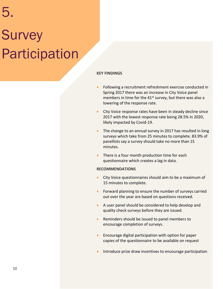# 5. **Survey** Participation

### **KEY FINDINGS**

- Following a recruitment refreshment exercise conducted in Spring 2017 there was an increase in City Voice panel members in time for the  $41<sup>st</sup>$  survey, but there was also a lowering of the response rate.
- City Voice response rates have been in steady decline since 2017 with the lowest response rate being 28.5% in 2020, likely impacted by Covid-19.
- The change to an annual survey in 2017 has resulted in long surveys which take from 25 minutes to complete. 83.9% of panellists say a survey should take no more than 15 minutes.
- There is a four month production time for each questionnaire which creates a lag in data.

### **RECOMMENDATIONS**

- City Voice questionnaires should aim to be a maximum of 15 minutes to complete.
- Forward planning to ensure the number of surveys carried out over the year are based on questions received.
- A user panel should be considered to help develop and quality check surveys before they are issued.
- Reminders should be issued to panel members to encourage completion of surveys.
- Encourage digital participation with option for paper copies of the questionnaire to be available on request
- Introduce prize draw incentives to encourage participation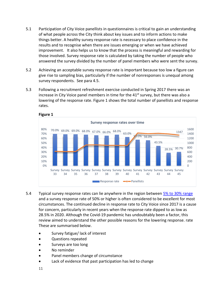- 5.1 Participation of City Voice panellists in questionnaires is critical to gain an understanding of what people across the City think about key issues and to inform actions to make things better. A healthy survey response rate is necessary to place confidence in the results and to recognise when there are issues emerging or when we have achieved improvement. It also helps us to know that the process is meaningful and rewarding for those involved. Survey response rate is calculated by taking the number of people who answered the survey divided by the number of panel members who were sent the survey.
- 5.2 Achieving an acceptable survey response rate is important because too low a figure can give rise to sampling bias, particularly if the number of nonresponses is unequal among survey respondents. See para 4.5.
- 5.3 Following a recruitment refreshment exercise conducted in Spring 2017 there was an increase in City Voice panel members in time for the  $41<sup>st</sup>$  survey, but there was also a lowering of the response rate. Figure 1 shows the total number of panellists and response rates.



- 5.4 Typical survey response rates can lie anywhere in the region between [5% to 30% range](https://www.smartsurvey.co.uk/blog/what-is-a-good-survey-response-rate) and a survey response rate of 50% or higher is often considered to be excellent for most circumstances. The continued decline in response rate to City Voice since 2017 is a cause for concern, particularly in recent years when the response rate dipped to as low as 28.5% in 2020. Although the Covid-19 pandemic has undoubtably been a factor, this review aimed to understand the other possible reasons for the lowering response. rate These are summarised below.
	- Survey fatigue/ lack of interest
	- Questions repeated
	- Surveys are too long
	- No reminder
	- Panel members change of circumstance
	- Lack of evidence that past participation has led to change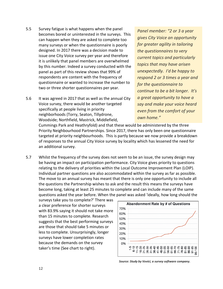- 5.5 Survey fatigue is what happens when the panel becomes bored or uninterested in the surveys. This can happen when they are asked to complete too many surveys or when the questionnaire is poorly designed. In 2017 there was a decision made to issue one City Voice survey per year and therefore it is unlikely that panel members are overwhelmed by this number. Indeed a survey conducted with the panel as part of this review shows that 99% of respondents are content with the frequency of questionnaire or wanted to increase the number to two or three shorter questionnaires per year.
- 5.6 It was agreed in 2017 that as well as the annual City Voice survey, there would be another targeted specifically at people living in priority neighborhoods (Torry, Seaton, Tillydrone, Woodside; Northfield, Mastrick, Middlefield,

*Panel member: "2 or 3 a year gives City Voice an opportunity for greater agility in tailoring the questionnaires to very current topics and particularly topics that may have arisen unexpectedly. I'd be happy to respond 2 or 3 times a year and for the questionnaire to continue to be a bit longer. It's a great opportunity to have a say and make your voice heard even from the comfort of your own home."*

Cummings Park and Heathryfold) and that these would be administered by the three Priority Neighbourhood Partnerships. Since 2017, there has only been one questionnaire targeted at priority neighbourhoods. This is partly because we now provide a breakdown of responses to the annual City Voice survey by locality which has lessened the need for an additional survey.

5.7 Whilst the frequency of the survey does not seem to be an issue, the survey design may be having an impact on participation performance. City Voice gives priority to questions relating to the delivery of priorities within the Local Outcome Improvement Plan (LOIP). Individual partner questions are also accommodated within the survey as far as possible. The move to an annual survey has meant that there is only one opportunity to include all the questions the Partnership wishes to ask and the result this means the surveys have become long, taking at least 25 minutes to complete and can include many of the same questions asked the year before. When the panel was asked 'ideally, how long should the

surveys take you to complete?' There was a clear preference for shorter surveys with 83.9% saying it should not take more than 15 minutes to complete. Research suggests that the best performing surveys are those that should take 5 minutes or less to complete. Unsurprisingly, longer surveys have lower completion rates because the demands on the survey taker's time (See chart to right).



*Source: Study by Vovici, a survey software company.*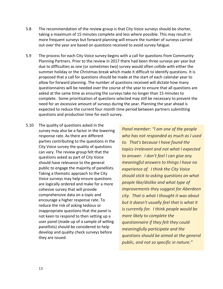- 5.8 The recommendation of the review group is that City Voice surveys should be shorter, taking a maximum of 15 minutes complete and less where possible. This may result in more frequent surveys but forward planning will ensure the number of surveys carried out over the year are based on questions received to avoid survey fatigue.
- 5.9 The process for each City Voice survey begins with a call for questions from Community Planning Partners. Prior to the review in 2017 there had been three surveys per year but due to difficulties as one (or sometimes two) survey would often collide with either the summer holiday or the Christmas break which made it difficult to identify questions. It is proposed that a call for questions should be made at the start of each calendar year to allow for forward planning. The number of questions received will dictate how many questionnaires will be needed over the course of the year to ensure that all questions are asked at the same time as ensuring the surveys take no longer than 15 minutes to complete. Some prioritisation of questions selected may still be necessary to prevent the need for an excessive amount of surveys during the year. Planning the year ahead is expected to reduce the current four month time period between partners submitting questions and production time for each survey.
- 5.10 The quality of questions asked in the survey may also be a factor in the lowering response rate. As there are different parties contributing to the questions in the City Voice survey the quality of questions can vary. The review group felt that the questions asked as part of City Voice should have relevance to the general public to engage the majority of panellists. Taking a thematic approach to the City Voice surveys may help ensure questions are logically ordered and make for a more cohesive survey that will provide comprehensive data on a topic and encourage a higher response rate. To reduce the risk of asking tedious or inappropriate questions that the panel is not keen to respond to then setting up a user panel (made up of a sample of willing panellists) should be considered to help develop and quality check surveys before they are issued.

*Panel member: "I am one of the people who has not responded as much as I used to. That's because I have found the topics irrelevant and not what I expected to answer. I don't feel I can give any meaningful answers to things I have no experience of. I think the City Voice should stick to asking questions on what people like/dislike and what type of improvements they suggest for Aberdeen city. That is what I thought it was about but it doesn't usually feel that is what it is currently for. I think people would be more likely to complete the questionnaire if they felt they could meaningfully participate and the questions should be aimed at the general public, and not so specific in nature."*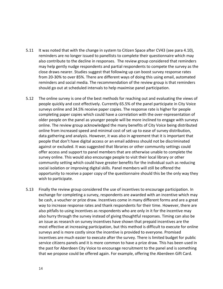- 5.11 It was noted that with the change in system to Citizen Space after CV43 (see para 4.10), reminders are no longer issued to panellists to complete their questionnaire which may also contribute to the decline in responses. The review group considered that reminders may help gently nudge respondents and partial respondents to compete the survey as the close draws nearer. Studies suggest that following up can boost survey response rates from 20-30% to over 85%. There are different ways of doing this using email, automated reminders and social media. The recommendation of the review group is that reminders should go out at scheduled intervals to help maximise panel participation.
- 5.12 The online survey is one of the best methods for reaching out and evaluating the views of people quickly and cost effectively. Currently 65.5% of the panel participate in City Voice surveys online and 34.5% receive paper copies. The response rate is higher for people completing paper copies which could have a correlation with the over-representation of older people on the panel as younger people will be more inclined to engage with surveys online. The review group acknowledged the many benefits of City Voice being distributed online from increased speed and minimal cost of set up to ease of survey distribution, data gathering and analysis. However, it was also in agreement that it is important that people that don't have digital access or an email address should not be discriminated against or excluded. It was suggested that libraries or other community settings could offer access and support to panel members that are otherwise unable to complete the survey online. This would also encourage people to visit their local library or other community setting which could have greater benefits for the individual such as reducing social isolation or improving digital skills. Panel members will still be offered the opportunity to receive a paper copy of the questionnaire should this be the only way they wish to participate.
- 5.13 Finally the review group considered the use of incentives to encourage participation. In exchange for completing a survey, respondents are awarded with an incentive which may be cash, a voucher or prize draw. Incentives come in many different forms and are a great way to increase response rates and thank respondents for their time. However, there are also pitfalls to using incentives as respondents who are only in it for the incentive may also hurry through the survey instead of giving thoughtful responses. Timing can also be an issue as research on survey incentives have shown that prepaid incentives are the most effective at increasing participation, but this method is difficult to execute for online surveys and is more costly since the incentive is provided to everyone. Promised incentives are much easier to execute after the survey. There is limited budget for public service citizens panels and it is more common to have a prize draw. This has been used in the past for Aberdeen City Voice to encourage recruitment to the panel and is something that we propose could be offered again. For example, offering the Aberdeen Gift Card.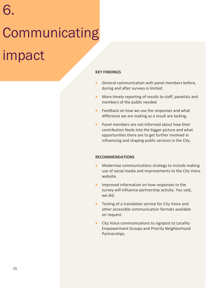# 6. **Communicating** impact

### **KEY FINDINGS**

- General communication with panel members before, during and after surveys is limited.
- More timely reporting of results to staff, panelists and members of the public needed.
- Feedback on how we use the responses and what difference we are making as a result are lacking.
- Panel members are not informed about how their contribution feeds into the bigger picture and what opportunities there are to get further involved in influencing and shaping public services in the City.

### **RECOMMENDATIONS**

- Modernise communications strategy to include making use of social media and improvements to the City Voice website.
- Improved information on how responses to the survey will influence partnership activity. You said, we did.
- Testing of a translation service for City Voice and other accessible communication formats available on request.
- City Voice communications to signpost to Locality Empowerment Groups and Priority Neighborhood Partnerships.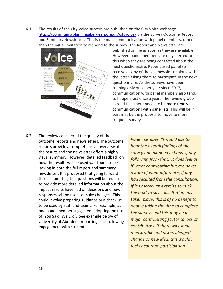6.1 The results of the City Voice surveys are published on the City Voice webpage <https://communityplanningaberdeen.org.uk/cityvoice/> via the Survey Outcome Report and Summary Newsletter. This is the main communication with panel members, other than the initial invitation to respond to the survey. The Report and Newsletter are



published online as soon as they are available. However, panel members are only alerted to this when they are being contacted about the next questionnaire. Paper based panelists receive a copy of the last newsletter along with the letter asking them to participate in the next questionnaire. As the surveys have been running only once per year since 2017, communication with panel members also tends to happen just once a year. The review group agreed that there needs to be more timely communications with panellists. This will be in part met by the proposal to move to more frequent surveys.

6.2 The review considered the quality of the outcome reports and newsletters. The outcome reports provide a comprehensive overview of the results and the newsletter offers a highly visual summary. However, detailed feedback on how the results will be used was found to be lacking in both the full report and summary newsletter. It is proposed that going forward those submitting the questions will be required to provide more detailed information about the impact results have had on decisions and how responses will be used to make changes. This could involve preparing guidance or a checklist to be used by staff and teams. For example, as one panel member suggested, adopting the use of 'You Said, We Did'. See example below of University of Aberdeen reporting back following engagement with students.

*Panel member: "I would like to hear the overall findings of the survey and planned actions, if any following from that. It does feel as if we're contributing but are never aware of what difference, if any, had resulted from the consultation. If it's merely an exercise to "tick the box" to say consultation has taken place, this is of no benefit to people taking the time to complete the surveys and this may be a major contributing factor to loss of contributors. If there was some measurable and acknowledged change or new idea, this would I feel encourage participation."*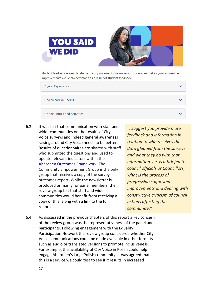

Student feedback is used to shape the improvements we make to our services. Below you can see the improvements we've already made as a result of student feedback.

| <b>Digital Experience</b>           |  |
|-------------------------------------|--|
| <b>Health and Wellbeing</b>         |  |
| <b>Opportunities and Activities</b> |  |

6.3 It was felt that communication with staff and wider communities on the results of City Voice surveys and indeed general awareness raising around City Voice needs to be better. Results of questionnaires are shared with staff who submitted the questions and used to update relevant indicators within the [Aberdeen Outcomes Framework.](https://communityplanningaberdeen.org.uk/outcomesframework/) The Community Empowerment Group is the only group that receives a copy of the survey outcomes report. While the newsletter is produced primarily for panel members, the review group felt that staff and wider communities would benefit from receiving a copy of this, along with a link to the full report.

*"I suggest you provide more feedback and information in relation to who receives the data gleaned from the surveys and what they do with that information, i.e. is it briefed to council officials or Councillors, what is the process of progressing suggested improvements and dealing with constructive criticism of council actions affecting the community."*

6.4 As discussed in the previous chapters of this report a key concern of the review group was the representativeness of the panel and participants. Following engagement with the Equality Participation Network the review group considered whether City Voice communications could be made available in other formats such as audio or translated versions to promote inclusiveness. For example, the availability of City Voice in Polish could help engage Aberdeen's large Polish community. It was agreed that this is a service we could test to see if it results in increased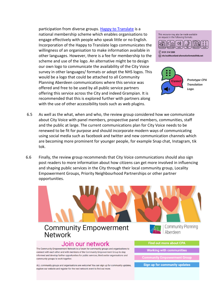participation from diverse groups. [Happy to Translate](https://www.happytotranslate.com/) is a national membership scheme which enables organisations to engage effectively with people who speak little or no English. Incorporation of the Happy to Translate logo communicates the willingness of an organisation to make information available in other languages. However, there is a fee for membership to the scheme and use of the logo. An alternative might be to design our own logo to communicate the availability of the City Voice survey in other languages/ formats or adopt the NHS logos. This would be a logo that could be attached to all Community Planning Aberdeen communications where this service was offered and free to be used by all public service partners offering this service across the City and indeed Grampian. It is recommended that this is explored further with partners along with the use of other accessibility tools such as web plugins.





 $\binom{2}{1}$  0131 314 5300  $\circledR$  nhs.healthscotland-alternativeformats@nhs.net



*Prototype CPA Translation Logo.*

- 6.5 As well as the what, when and who, the review group considered how we communicate about City Voice with panel members, prospective panel members, communities, staff and the public at large. The current communications plan for City Voice needs to be renewed to be fit for purpose and should incorporate modern ways of communicating using social media such as facebook and twitter and new communication channels which are becoming more prominent for younger people, for example Snap chat, Instagram, tik tok.
- 6.6 Finally, the review group recommends that City Voice communications should also sign post readers to more information about how citizens can get more involved in influencing and shaping public services in the City through their local community group, Locality Empowerment Groups, Priority Neighbourhood Partnerships or other partner opportunities.



### **Community Empowerment Network**

### Join our network

The Community Empowerment Network is a forum for community groups and organisations to connect with each other and with members of the Community Empowerment Group to stay informed and develop further opportunities for public services, third sector organisations and community groups to work together.

ALL community groups and organisations are welcome! You can sign up for community updates. explore our website and register for the next network event to find out more.

Aberdeen

**Find out more about CPA** 

**Working with communities** 

**Sign up for community updates**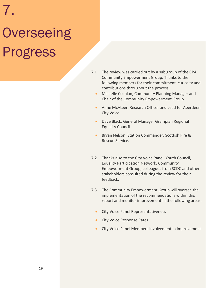# 7. **Overseeing** Progress

- 7.1 The review was carried out by a sub group of the CPA Community Empowerment Group. Thanks to the following members for their commitment, curiosity and contributions throughout the process.
	- Michelle Cochlan, Community Planning Manager and Chair of the Community Empowerment Group
	- Anne McAteer, Research Officer and Lead for Aberdeen City Voice
	- Dave Black, General Manager Grampian Regional Equality Council
	- Bryan Nelson, Station Commander, Scottish Fire & Rescue Service.
- 7.2 Thanks also to the City Voice Panel, Youth Council, Equality Participation Network, Community Empowerment Group, colleagues from SCDC and other stakeholders consulted during the review for their feedback.
- 7.3 The Community Empowerment Group will oversee the implementation of the recommendations within this report and monitor improvement in the following areas.
	- City Voice Panel Representativeness
	- City Voice Response Rates
	- City Voice Panel Members involvement in Improvement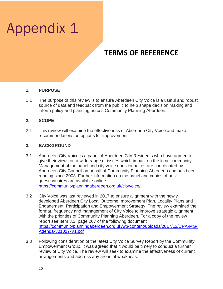## Appendix 1

### **TERMS OF REFERENCE**

### **1. PURPOSE**

1.1 The purpose of this review is to ensure Aberdeen City Voice is a useful and robust source of data and feedback from the public to help shape decision making and inform policy and planning across Community Planning Aberdeen.

### **2. SCOPE**

2.1 This review will examine the effectiveness of Aberdeen City Voice and make recommendations on options for improvement.

### **3. BACKGROUND**

- 3.1 Aberdeen City Voice is a panel of Aberdeen City Residents who have agreed to give their views on a wide range of issues which impact on the local community. Management of the panel and city voice questionnaires are coordinated by Aberdeen City Council on behalf of Community Planning Aberdeen and has been running since 2003. Further information on the panel and copies of past questionnaires are available online [https://communityplanningaberdeen.org.uk/cityvoice/.](https://communityplanningaberdeen.org.uk/cityvoice/)
- 3.2 City Voice was last reviewed in 2017 to ensure alignment with the newly developed Aberdeen City Local Outcome Improvement Plan, Locality Plans and Engagement, Participation and Empowerment Strategy. The review examined the format, frequency and management of City Voice to improve strategic alignment with the priorities of Community Planning Aberdeen. For a copy of the review report see Item 3.2, page 207 of the following document [https://communityplanningaberdeen.org.uk/wp-content/uploads/2017/12/CPA-MG-](https://communityplanningaberdeen.org.uk/wp-content/uploads/2017/12/CPA-MG-Agenda-301017-V1.pdf)[Agenda-301017-V1.pdf](https://communityplanningaberdeen.org.uk/wp-content/uploads/2017/12/CPA-MG-Agenda-301017-V1.pdf)
- 3.3 Following consideration of the latest City Voice Survey Report by the Community Empowerment Group, it was agreed that it would be timely to conduct a further review of City Voice. The review will seek to examine the effectiveness of current arrangements and address any areas of weakness.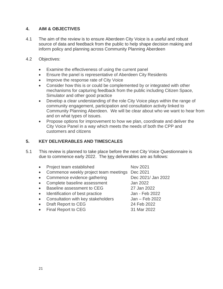### **4. AIM & OBJECTIVES**

- 4.1 The aim of the review is to ensure Aberdeen City Voice is a useful and robust source of data and feedback from the public to help shape decision making and inform policy and planning across Community Planning Aberdeen
- 4.2 Objectives:
	- Examine the effectiveness of using the current panel
	- Ensure the panel is representative of Aberdeen City Residents
	- Improve the response rate of City Voice
	- Consider how this is or could be complemented by or integrated with other mechanisms for capturing feedback from the public including Citizen Space, Simulator and other good practice
	- Develop a clear understanding of the role City Voice plays within the range of community engagement, participation and consultation activity linked to Community Planning Aberdeen. We will be clear about who we want to hear from and on what types of issues.
	- Propose options for improvement to how we plan, coordinate and deliver the City Voice Panel in a way which meets the needs of both the CPP and customers and citizens

### **5. KEY DELIVERABLES AND TIMESCALES**

- 5.1 This review is planned to take place before the next City Voice Questionnaire is due to commence early 2022. The key deliverables are as follows:
	- Project team established Nov 2021 • Commence weekly project team meetings Dec 2021
	- Commence evidence gathering Dec 2021/ Jan 2022
	- Complete baseline assessment Jan 2022
	- Baseline assessment to CEG 27 Jan 2022
	- Identification of best practice Jan Feb 2022
	- Consultation with key stakeholders Jan Feb 2022
	- Draft Report to CEG 24 Feb 2022
	- Final Report to CEG 31 Mar 2022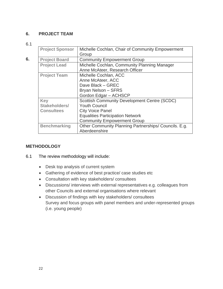### **6. PROJECT TEAM**

6.1

|    | <b>Project Sponsor</b> | Michelle Cochlan, Chair of Community Empowerment      |
|----|------------------------|-------------------------------------------------------|
|    |                        | Group                                                 |
| 6. | <b>Project Board</b>   | <b>Community Empowerment Group</b>                    |
|    | <b>Project Lead</b>    | Michelle Cochlan, Community Planning Manager          |
|    |                        | Anne McAteer, Research Officer                        |
|    | <b>Project Team</b>    | Michelle Cochlan, ACC                                 |
|    |                        | Anne McAteer, ACC                                     |
|    |                        | Dave Black - GREC                                     |
|    |                        | Bryan Nelson - SFRS                                   |
|    |                        | Gordon Edgar - ACHSCP                                 |
|    | <b>Key</b>             | <b>Scottish Community Development Centre (SCDC)</b>   |
|    | Stakeholders/          | <b>Youth Council</b>                                  |
|    | <b>Consultees</b>      | <b>City Voice Panel</b>                               |
|    |                        | <b>Equalities Participation Network</b>               |
|    |                        | <b>Community Empowerment Group</b>                    |
|    | <b>Benchmarking</b>    | Other Community Planning Partnerships/ Councils. E.g. |
|    |                        | Aberdeenshire                                         |

### **METHODOLOGY**

- 6.1 The review methodology will include:
	- Desk top analysis of current system
	- Gathering of evidence of best practice/ case studies etc
	- Consultation with key stakeholders/ consultees
	- Discussions/ interviews with external representatives e.g. colleagues from other Councils and external organisations where relevant
	- Discussion of findings with key stakeholders/ consultees Survey and focus groups with panel members and under-represented groups (i.e. young people)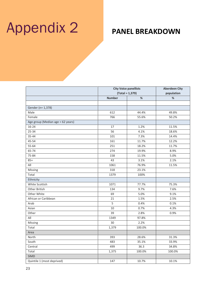## Appendix 2 **PANEL BREAKDOWN**

|                                   | <b>City Voice panellists</b><br>$(Total = 1,379)$ |        | <b>Aberdeen City</b><br>population |  |
|-----------------------------------|---------------------------------------------------|--------|------------------------------------|--|
|                                   |                                                   |        |                                    |  |
|                                   | <b>Number</b>                                     | $\%$   | %                                  |  |
|                                   |                                                   |        |                                    |  |
| Gender (n= 1,378)                 |                                                   |        |                                    |  |
| Male                              | 612                                               | 44.4%  | 49.8%                              |  |
| Female                            | 766                                               | 55.6%  | 50.2%                              |  |
| Age group (Median age = 62 years) |                                                   |        |                                    |  |
| 16-24                             | 17                                                | 1.2%   | 11.5%                              |  |
| 25-34                             | 56                                                | 4.1%   | 18.6%                              |  |
| 35-44                             | 101                                               | 7.3%   | 14.4%                              |  |
| 45-54                             | 161                                               | 11.7%  | 12.2%                              |  |
| 55-64                             | 251                                               | 18.2%  | 11.7%                              |  |
| 65-74                             | 274                                               | 19.9%  | 8.9%                               |  |
| 75-84                             | 158                                               | 11.5%  | 5.0%                               |  |
| $85+$                             | 43                                                | 3.1%   | 2.1%                               |  |
| All                               | 1061                                              | 76.9%  | 11.5%                              |  |
| Missing                           | 318                                               | 23.1%  |                                    |  |
| Total                             | 1379                                              | 100%   |                                    |  |
| Ethnicity                         |                                                   |        |                                    |  |
| White Scottish                    | 1071                                              | 77.7%  | 75.3%                              |  |
| <b>Other British</b>              | 134                                               | 9.7%   | 7.6%                               |  |
| Other White                       | 69                                                | 5.0%   | 9.1%                               |  |
| African or Caribbean              | 21                                                | 1.5%   | 2.5%                               |  |
| Arab                              | 5                                                 | 0.4%   | 0.1%                               |  |
| Asian                             | 10                                                | 0.7%   | 4.3%                               |  |
| Other                             | 39                                                | 2.8%   | 0.9%                               |  |
| All                               | 1349                                              | 97.8%  |                                    |  |
| Missing                           | 30                                                | 2.2%   |                                    |  |
| Total                             | 1,379                                             | 100.0% |                                    |  |
| Area                              |                                                   |        |                                    |  |
| North                             | 393                                               | 28.6%  | 31.3%                              |  |
| South                             | 483                                               | 35.1%  | 33.9%                              |  |
| Central                           | 499                                               | 36.3   | 34.8%                              |  |
| Total                             | 1,375                                             | 100.0% | 100.0%                             |  |
| <b>SIMD</b>                       |                                                   |        |                                    |  |
| Quintile 1 (most deprived)        | 147                                               | 10.7%  | 10.1%                              |  |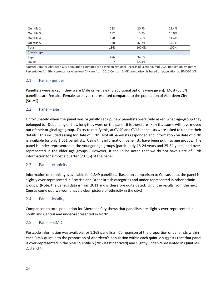| Quintile 2  | 283  | 20.7%  | 22.4%                    |
|-------------|------|--------|--------------------------|
| Quintile 3  | 182  | 13.3%  | 16.0%                    |
| Quintile 4  | 178  | 13.0%  | 14.4%                    |
| Quintile 5  | 578  | 42.3%  | 37.1%                    |
| Total       | 1368 | 100.0% | 100%                     |
| Survey type |      |        |                          |
| Paper       | 476  | 34.5%  | $\overline{\phantom{0}}$ |
| Online      | 902  | 65.4%  | ٠                        |

Source: Data for Aberdeen City population estimates are based on National Records of Scotland, mid-2020 population estimates. Percentages for Ethnic groups for Aberdeen City are from 2011 Census. SIMD comparison is based on population at SIMD20 (V2).

### 2.1 Panel - gender

Panellists were asked if they were Male or Female (no additional options were given). Most (55.6%) panellists are Female. Females are over-represented compared to the population of Aberdeen City (50.2%).

### 2.2 Panel – age

Unfortunately when the panel was originally set up, new panellists were only asked what age-group they belonged to. Depending on how long they were on the panel, it is therefore likely that some will have moved out of their original age group. To try to rectify this, at CV 40 and CV41, panellists were asked to update their details. This included asking for Date of Birth. Not all panellists responded and information on date of birth is available for only 1,061 panellists. Using this information, panellists have been put into age groups. The panel is under-represented in the younger age groups (particularly 16-24 years and 25-34 years) and overrepresented in the older age groups. However, it should be noted that we do not have Date of Birth information for almost a quarter (23.1%) of the panel.

### 2.3 Panel - ethnicity

Information on ethnicity is available for 1,349 panellists. Based on comparison to Census data, the panel is slightly over-represented in Scottish and Other British categories and under-represented in other ethnic groups. (Note: the Census data is from 2011 and is therefore quite dated. Until the results from the next Census come out, we won't have a clear picture of ethnicity in the city.)

### 2.4 Panel - locality

Comparison to total population for Aberdeen City shows that panellists are slightly over-represented in South and Central and under-represented in North.

### 2.5 Panel – SIMD

Postcode information was available for 1,368 panellists. Comparison of the proportion of panellists within each SIMD quintile to the proportion of Aberdeen's population within each quintile suggests that that panel is over-represented in the SIMD quintile 5 (20% least deprived) and slightly under-represented in Quintiles 2, 3 and 4.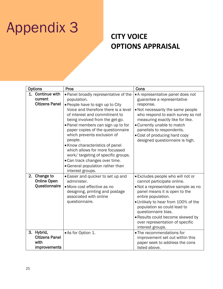## Appendix 3

### **CITY VOICE OPTIONS APPRAISAL**

| <b>Options</b> |                                                                | <b>Pros</b>                                                                                                                                                                                                                                                                                                                                                                                                                                                                                                                     | Cons                                                                                                                                                                                                                                                                                                                                                                               |
|----------------|----------------------------------------------------------------|---------------------------------------------------------------------------------------------------------------------------------------------------------------------------------------------------------------------------------------------------------------------------------------------------------------------------------------------------------------------------------------------------------------------------------------------------------------------------------------------------------------------------------|------------------------------------------------------------------------------------------------------------------------------------------------------------------------------------------------------------------------------------------------------------------------------------------------------------------------------------------------------------------------------------|
|                | 1. Continue with<br>current<br><b>Citizens Panel</b>           | . Panel broadly representative of the<br>population.<br>. People have to sign up to City<br>Voice and therefore there is a level<br>of interest and commitment to<br>being involved from the get-go.<br>. Panel members can sign up to for<br>paper copies of the questionnaire<br>which prevents exclusion of<br>people.<br>• Know characteristics of panel<br>which allows for more focussed<br>work/ targeting of specific groups.<br>• Can track changes over time.<br>· General population rather than<br>interest groups. | • A representative panel does not<br>guarantee a representative<br>response.<br>. Not necessarily the same people<br>who respond to each survey so not<br>measuring exactly like for like.<br>• Currently unable to match<br>panelists to respondents.<br>• Cost of producing hard copy<br>designed questionnaire is high.                                                         |
| 3.             | 2. Change to<br><b>Online Open</b><br>Questionnaire<br>Hybrid, | • Easier and quicker to set up and<br>administer.<br>• More cost effective as no<br>designing, printing and postage<br>associated with online<br>questionnaire.<br>• As for Option 1.                                                                                                                                                                                                                                                                                                                                           | • Excludes people who will not or<br>cannot participate online.<br>. Not a representative sample as no<br>panel means it is open to the<br>entire population.<br>. Unlikely to hear from 100% of the<br>population so could lead to<br>questionnaire bias.<br>· Results could become skewed by<br>over representation of specific<br>interest groups.<br>• The recommendations for |
|                | <b>Citizens Panel</b><br>with<br>improvements                  |                                                                                                                                                                                                                                                                                                                                                                                                                                                                                                                                 | improvement set out within this<br>paper seek to address the cons<br>listed above.                                                                                                                                                                                                                                                                                                 |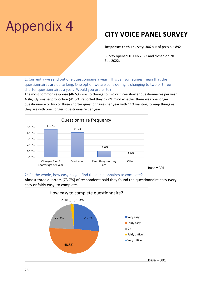## Appendix 4

### **CITY VOICE PANEL SURVEY**

**Responses to this survey:** 306 out of possible 892

Survey opened 10 Feb 2022 and closed on 20 Feb 2022.

1: Currently we send out one questionnaire a year. This can sometimes mean that the questionnaires are quite long. One option we are considering is changing to two or three shorter questionnaires a year. Would you prefer to?

The most common response (46.5%) was to change to two or three shorter questionnaires per year. A slightly smaller proportion (41.5%) reported they didn't mind whether there was one longer questionnaire or two or three shorter questionnaires per year with 11% wanting to keep things as they are with one (longer) questionnaire per year.



### 2: On the whole, how easy do you find the questionnaires to complete?



Almost three quarters (73.7%) of respondents said they found the questionnaire easy (very easy or fairly easy) to complete.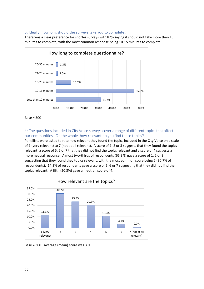### 3: Ideally, how long should the surveys take you to complete?

There was a clear preference for shorter surveys with 87% saying it should not take more than 15 minutes to complete, with the most common response being 10-15 minutes to complete.



Base = 300

### 4: The questions included in City Voice surveys cover a range of different topics that affect our communities. On the whole, how relevant do you find these topics?

Panellists were asked to rate how relevant they found the topics included in the City Voice on a scale of 1 (very relevant) to 7 (not at all relevant). A score of 1, 2 or 3 suggests that they found the topics relevant, a score of 5, 6 or 7 that they did not find the topics relevant and a score of 4 suggests a more neutral response. Almost two-thirds of respondents (65.3%) gave a score of 1, 2 or 3 suggesting that they found they topics relevant, with the most common score being 2 (30.7% of respondents). 14.3% of respondents gave a score of 5, 6 or 7 suggesting that they did not find the topics relevant. A fifth (20.3%) gave a 'neutral' score of 4.



Base = 300. Average (mean) score was 3.0.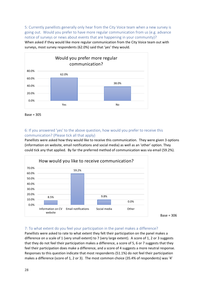5: Currently panellists generally only hear from the City Voice team when a new survey is going out. Would you prefer to have more regular communication from us (e.g. advance notice of surveys or news about events that are happening in your community)?

When asked if they would like more regular communication from the City Voice team out with surveys, most survey respondents (62.0%) said that 'yes' they would.



Base = 305

### 6: If you answered 'yes' to the above question, how would you prefer to receive this communication? (Please tick all that apply)

Panellists were asked how they would like to receive this communication. They were given 3 options (information on website, email notifications and social media) as well as an 'other' option. They could tick any that applied. By far the preferred method of communication was via email (59.2%).



Base = 306

### 7: To what extent do you feel your participation in the panel makes a difference?

Panellists were asked to rate to what extent they felt their participation on the panel makes a difference on a scale of 1 (very small extent) to 7 (very large extent). A score of 1, 2 or 3 suggests that they do not feel their participation makes a difference, a score of 5, 6 or 7 suggests that they feel their participation does make a difference, and a score of 4 suggests a more neutral response. Responses to this question indicate that most respondents (51.1%) do not feel their participation makes a difference (score of 1, 2 or 3). The most common choice (35.4% of respondents) was '4'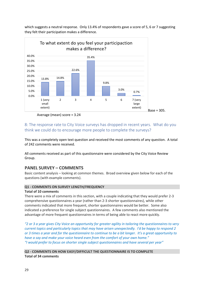which suggests a neutral response. Only 13.4% of respondents gave a score of 5, 6 or 7 suggesting they felt their participation makes a difference.



Average (mean) score = 3.24

8: The response rate to City Voice surveys has dropped in recent years. What do you think we could do to encourage more people to complete the surveys?

This was a completely open text question and received the most comments of any question. A total of 242 comments were received.

All comments received as part of this questionnaire were considered by the City Voice Review Group.

### **PANEL SURVEY – COMMENTS**

Basic content analysis – looking at common themes. Broad overview given below for each of the questions (with example comments).

### **Q1 - COMMENTS ON SURVEY LENGTH/FREQUENCY**

### **Total of 10 comments**

There were a mix of comments in this section, with a couple indicating that they would prefer 2-3 comprehensive questionnaires a year (rather than 2-3 shorter questionnaires), while other comments indicated that more frequent, shorter questionnaires would be better. Some also indicated a preference for single subject questionnaires. A few comments also mentioned the advantage of more frequent questionnaires in terms of being able to react more quickly.

*"2 or 3 a year gives City Voice an opportunity for greater agility in tailoring the questionnaires to very current topics and particularly topics that may have arisen unexpectedly. I'd be happy to respond 2 or 3 times a year and for the questionnaire to continue to be a bit longer. It's a great opportunity to have a say and make your voice heard even from the comfort of your own home." "I would prefer to focus on shorter single subject questionnaires and have several per year"*

**Q2 - COMMENTS ON HOW EASY/DIFFICULT THE QUESTIONNAIRE IS TO COMPLETE Total of 34 comments**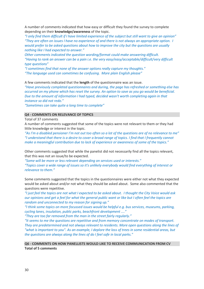A number of comments indicated that how easy or difficult they found the survey to complete depending on their **knowledge/awareness** of the topic.

*"I only find them difficult if I have limited experience of the subject but still want to give an opinion" "They are often on issues I have no experience of and there is not always an appropriate option. I would prefer to be asked questions about how to improve the city but the questions are usually nothing like I had expected to answer."*

*Other comments indicated the question wording/format could make answering difficult. "Having to rank an answer can be a pain i.e. the very easy/easy/acceptable/difficult/very difficult type questions"*

*"I sometimes find that none of the answer options really capture my thoughts." "The language used can sometimes be confusing. More plain English please"*

A few comments indicated that the **length** of the questionnaire was an issue.

*"Have previously completed questionnaires and during, the page has refreshed or something else has occurred on my phone which has reset the survey. An option to save as you go would be beneficial. Due to the amount of information I had typed, decided wasn't worth completing again in that instance so did not redo."*

*"Sometimes can take quite a long time to complete"*

### **Q4 - COMMENTS ON RELEVANCE OF TOPICS**

Total of 37 comments

A number of comments suggested that some of the topics were not relevant to them or they had little knowledge or interest in the topic.

*"As I'm a disabled pensioner I'm not out too often so a lot of the questions are of no relevance to me" "I understand that there is a desire to cover a broad range of topics. I find that I frequently cannot make a meaningful contribution due to lack of experience or awareness of some of the topics."*

Other comments suggested that while the panelist did not necessarily find all the topics relevant, that this was not an issue/to be expected.

*"Some will be more or less relevant depending on services used or interests."*

*"Topics cover a wide range of issues so it's unlikely everybody would find everything of interest or relevance to them."*

Some comments suggested that the topics in the questionnaires were either not what they expected would be asked about and/or not what they should be asked about. Some also commented that the questions were repetitive.

*"I just feel the topics are not what I expected to be asked about. I thought the City Voice would ask our opinions and get a feel for what the general public want or like but I often feel the topics are random and unconnected to my reason for signing up."*

*"I think some topics on more focussed issues would be helpful e.g. bus services, museums, parking, cycling lanes, insulation, public parks, beachfront development ...."*

*"They are too far removed from the man in the street fairly regularly."*

*"It seems to me the questions are repetitive and from memory concentrate on modes of transport. They are predetermined and not always relevant to residents. More open questions along the lines of "what is important to you". As an example, I deplore the loss of trees in some residential areas, but the questions are always along the lines of do I feel safe in local parks."*

### **Q6 - COMMENTS ON HOW PANELLISTS WOULD LIKE TO RECEIVE COMMUNICATION FROM CV Total of 5 comments**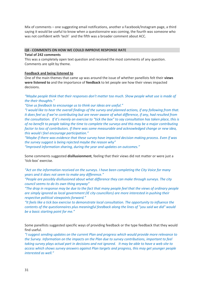Mix of comments – one suggesting email notifications, another a Facebook/Instagram page, a third saying it would be useful to know when a questionnaire was coming, the fourth was someone who was not confident with 'tech' and the fifth was a broader comment about ACC.

#### **Q8 - COMMENTS ON HOW WE COULD IMPROVE RESPONSE RATE**

#### **Total of 242 comments**

This was a completely open text question and received the most comments of any question. Comments are split by theme.

### **Feedback and being listened to**

One of the main themes that came up was around the issue of whether panellists felt their **views were listened to** and the importance of **feedback** to let people see how their views impacted decisions.

*"Maybe people think that their responses don't matter too much. Show people what use is made of the their thoughts."*

*"Give us feedback to encourage us to think our ideas are useful."*

*"I would like to hear the overall findings of the survey and planned actions, if any following from that. It does feel as if we're contributing but are never aware of what difference, if any, had resulted from the consultation. If it's merely an exercise to "tick the box" to say consultation has taken place, this is of no benefit to people taking the time to complete the surveys and this may be a major contributing factor to loss of contributors. If there was some measurable and acknowledged change or new idea, this would I feel encourage participation."*

*"Maybe if there was evidence that these survey have impacted decision making process. Even if was the survey suggest is being rejected maybe the reason why"*

*"Improved information sharing, during the year and updates on outcomes."*

Some comments suggested **disillusionment**, feeling that their views did not matter or were just a 'tick-box' exercise.

*"Act on the information received on the surveys. I have been completing the City Voice for many years and it does not seem to make any difference."*

*"People are possibly disillusioned about what difference they can make through surveys. The city council seems to do its own thing anyway"*

*"The drop in response may be due to the fact that many people feel that the views of ordinary people are simply ignored as local government (IE city councillors) are more interested in pushing their respective political viewpoints forward."*

*"It feels like a tick box exercise to demonstrate local consultation. The opportunity to influence the contents of the questionnaires plus meaningful feedback along the lines of "you said we did" would be a basic starting point for me."*

Some panellists suggested specific ways of providing feedback or the type feedback that they would find useful.

*"I suggest sending updates on the current Plan and progress which would provide more relevance to the Survey. Information on the impacts on the Plan due to survey contributions, important to feel taking survey plays actual part in decisions and not ignored. It may be able to have a web site to access which shows survey answers against Plan targets and progress, this may get younger people interested as well."*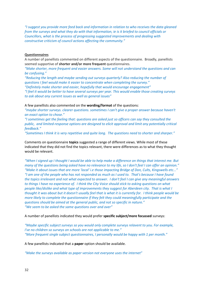*"I suggest you provide more feed back and information in relation to who receives the data gleaned from the surveys and what they do with that information, ie is it briefed to council officials or Councillors, what is the process of progressing suggested improvements and dealing with constructive criticism of council actions affecting the community."*

#### **Questionnaires**

A number of panellists commented on different aspects of the questionnaire. Broadly, panellists seemed supportive of **shorter and/or more frequent** questionnaires.

*"Make shorter, more frequent and easier answers. Some will not understand the questions and can be confusing."*

*"Reducing the length and maybe sending out surveys quarterly? Also reducing the number of questions I feel would make it easier to concentrate when completing the survey." "Definitely make shorter and easier, hopefully that would encourage engagement"*

*"I feel it would be better to have several surveys per year. This would enable those creating surveys to ask about any current issues as well as general issues"*

A few panellists also commented on the **wording/format** of the questions:

*"maybe shorter surveys. clearer questions. sometimes I can't give a proper answer because haven't an exact option to chose."*

*"I sometimes get the feeling that: questions are asked just so officers can say they consulted the public, and limited-response options are designed to elicit approval and limit any potentially critical feedback."*

*"Sometimes I think it is very repetitive and quite long. The questions need to shorter and sharper."*

Comments on questionnaire **topics** suggested a range of different views. While most of these indicated that they did not find the topics relevant, there were differences as to what they thought would be relevant.

*"When I signed up I thought I would be able to help make a difference on things that interest me. But many of the questions being asked have no relevance to my life, so I don't feel I can offer an opinion." "Make it about issues that are more 'local' i.e those impacting Bridge of Don, Cults, Kingswells etc..." "I am one of the people who has not responded as much as I used to. That's because I have found the topics irrelevant and not what expected to answer. I don't feel I can give any meaningful answers to things I have no experience of. I think the City Voice should stick to asking questions on what people like/dislike and what type of improvements they suggest for Aberdeen city. That is what I thought it was about but it doesn't usually feel that is what it is currently for. I think people would be more likely to complete the questionnaire if they felt they could meaningfully participate and the questions should be aimed at the general public, and not so specific in nature." "We seem to be asked the same questions over and over"*

A number of panellists indicated they would prefer **specific subject/more focussed** surveys:

*"Maybe specific subject surveys so you would only complete surveys relavent to you. For example, I've no children so surveys on schools are not applicable to me." "More frequent single subject questionnaires, I personally would be happy with 1 per month."*

A few panellists indicated that a **paper** option should be available.

*"Make the surveys available as paper version not everyone uses the internet"*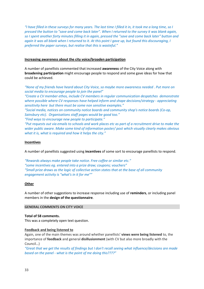*"I have filled in these surveys for many years. The last time I filled it in, it took me a long time, so I pressed the button to "save and come back later". When I returned to the survey it was blank again, so I spent another forty minutes filling it in again, pressed the "save and come back later" button and again it was all blank when I returned to it. At this point I gave up, but found this discouraging, I preferred the paper surveys, but realise that this is wasteful."*

### **Increasing awareness about the city voice/broaden participation**

A number of panellists commented that increased **awareness** of the City Voice along with **broadening participation** might encourage people to respond and some gave ideas for how that could be achieved.

*"None of my friends have heard about City Voice, so maybe more awareness needed . Put more on social media to encourage people to join the panel"*

*"Create a CV member ethos, include CV members in regular communication despatches demonstrate where possible where CV responses have helped inform and shape decisions/strategy - appreciating sensitivity here but there must be some non sensitive examples."*

*"Social media, notices on community notice boards and community shop's notice boards (Co-op, Sainsbury etc). Organisations staff pages would be good too."*

*"Find ways to encourage new people to participate."*

*"Put requests out via emails to schools and work places etc as part of a recruitment drive to make the wider public aware. Make some kind of information poster/ post which visually clearly makes obvious what it is, what is required and how it helps the city."*

### **Incentives**

A number of panellists suggested using **incentives** of some sort to encourage panellists to respond.

*"Rewards always make people take notice. Free coffee or similar etc." "some incentives eg. entered into a prize draw; coupons; vouchers" "Small prize draws as the logic of collective action states that at the base of all community engagement activity is "what's in it for me""*

### **Other**

A number of other suggestions to increase response including use of **reminders**, or including panel members in the **design of the questionnaire**.

### **GENERAL COMMENTS ON CITY VOICE**

### **Total of 58 comments.**

This was a completely open text question.

### **Feedback and being listened to**

Again, one of the main themes was around whether panellists' **views were being listened** to, the importance of **feedback** and general **disillusionment** (with CV but also more broadly with the Council…)

*"Great that we get the results of findings but I don't recall seeing what influence/decisions are made based on the panel - what is the point of me doing this????"*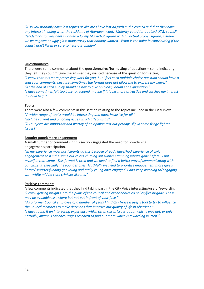*"Also you probably have less replies as like me I have lost all faith in the council and that they have any interest in doing what the residents of Aberdeen want. Majority voted for a raised UTG, council decided not to. Residents wanted a lovely Marischal Square with an actual proper square, instead we were given an ugly glass monstrosity that nobody wanted. What is the point in contributing if the council don't listen or care to hear our opinion"*

### **Questionnaires**

There were some comments about the **questionnaires/formatting** of questions – some indicating they felt they couldn't give the answer they wanted because of the question formatting. *"I know that it is more processing work for you, but I feel each multiple choice question should have a space for comments, because sometimes the format does not allow me to express my views." "At the end of each survey should be box to give opinions, doubts or explanation." "I have sometimes felt too busy to respond, maybe if it looks more attractive and catches my interest it would help."*

#### **Topics**

There were also a few comments in this section relating to the **topics** included in the CV surveys. *"A wider range of topics would be interesting and more inclusive for all." "Include current and on going issues which affect us all"*

*"All subjects are important and worthy of an opinion test but perhaps slip in some fringe lighter issues?"*

#### **Broader panel/more engagement**

A small number of comments in this section suggested the need for broadening engagement/participation.

*"In my experience most participants do this because already have/had experience of civic engagement so it's the same old voices chiming out rubber stamping what's gone before. I put myself in that camp. This format is tired and we need to find a better way of communicating with our citizens especially the younger ones. Truthfully we need to prioritise engagement more give it better/ smarter funding get young and really young ones engaged. Can't keep listening to/engaging with white middle class crinklies like me."*

### **Positive comments**

A few comments indicated that they find taking part in the City Voice interesting/useful/rewarding. *"I enjoy getting insights into the plans of the council and other bodies eg police/fire brigade. These may be available elsewhere but not put in front of your face."*

*"As a former Council employee of a number of years I find City Voice a useful tool to try to influence the Council members to make decisions that improve our quality of life in Aberdeen."* 

*"I have found it an interesting experience which often raises issues about which I was not, or only partially, aware. That encourages research to find out more which is rewarding in itself."*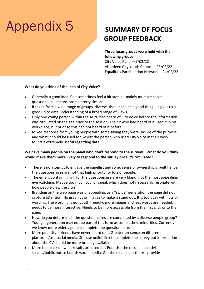## Appendix 5

### **SUMMARY OF FOCUS GROUP FEEDBACK**

### **Three focus groups were held with the following groups:**

City Voice Panel – 9/02/22 Aberdeen City Youth Council – 23/02/22 Equalities Participation Network – 24/02/22

### **What do you think of the idea of City Voice?**

- Generally a good idea. Can sometimes feel a bit sterile mainly multiple choice questions - questions can be pretty similar.
- If taken from a wide range of groups, diverse, then it can be a good thing. It gives us a good up to date understanding of a broad range of views
- Only one young person within the ACYC had heard of City Voice before the information was circulated on the site prior to the session. The YP who had heard of it used it in his workplace, but prior to this had not heard of it before.
- Mixed response from young people with some saying they were unsure of the purpose and what it could be used for, whilst the person who used City Voice in their work found it extremely useful regarding data.

### **We have many people on the panel who don't respond to the surveys. What do you think would make them more likely to respond to the survey once it's circulated?**

- There is no attempt to engage the panellist and so no sense of ownership is built hence the questionnaires are not that high priority for lots of people.
- The emails containing link for the questionnaire are very bland, not the most appealing, eye -catching. Maybe too much council speak which does not necessarily resonate with how people view the city?
- Branding on the web page was unappealing, as a "swipe" generation the page did not capture attention. No graphics or images to make it stand out. It is too busy with lots of wording. The wording is not youth friendly, more images and less words are needed, needs to be more interactive. Needs to be more accessible from the first click onto the page.
- How do you determine if the questionnaires are completed by a diverse people group? Younger generation may not be part of this form as some ethnic minorities. Currently we know more elderly people complete the questionnaire.
- More publicity friends have never heard of it. Greater presence on different platforms/use social media. Still use online link to complete the survey but information about the CV should be more broadly available.
- More feedback on what results are used for. Publicise the results use civic spaces/public notice boards/social media. Get the results out there - provide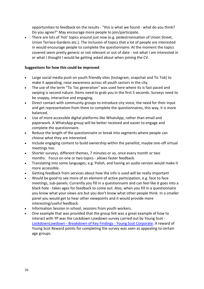opportunities to feedback on the results - "this is what we found - what do you think? Do you agree?" May encourage more people to join/participate.

• There are lots of 'hot' topics around just now (e.g. pedestrianisation of Union Street, Union Terrace Gardens etc.). The inclusion of topics that a lot of people are interested in would encourage people to complete the questionnaire. At the moment the topics covered seem pretty generic or not relevant or out of date - not what I am interested in or what I thought I would be getting asked about when joining the CV.

### **Suggestions for how this could be improved**

- Large social media push on youth friendly sites (Instagram, snapchat and Tic Tok) to make it appealing, raise awareness across all youth sectors in the city.
- The use of the term "Tic Toc generation" was used here where its is fast paced and swiping is second nature. Items need to grab you in the first 5 seconds. Surveys need to be snappy, interactive and engaging.
- Direct contact with community groups to introduce city voice, the need for their input and get representation from them to complete the questionnaires, this way, it is more balanced.
- Use of more accessible digital platforms like WhatsApp, rather than email and paperwork. A WhatsApp group will be better received and easier to engage and complete the questionnaire.
- Reduce the length of the questionnaire or break into segments where people can choose what they are interested.
- Include engaging content to build ownership within the panellist, maybe one-off virtual meetings too.
- Shorter surveys, different themes, 7 minutes or so, once every month or two months. Focus on one or two topics - allows faster feedback.
- Translating into some languages, e.g. Polish, and having an audio version would make it more accessible.
- Getting feedback from services about how the info is used will be really important
- Would be good to see more of an element of active participation, e.g. face to face meetings, sub-panels. Currently you fill in a questionnaire and can feel like it goes into a black hole - takes ages for feedback to come out. Also, when you fill in a questionnaire you know what your views are but you don't know what other people think. In a smaller panel you would get to hear other viewpoints and it would provide more interesting/useful feedback.
- Information Session in school, sessions from youth workers.
- One example that was provided that the group felt was a great example of how to interact with YP was the Lockdown Lowdown survey carried out by Young Scot - LockdownLowdown - [Breakdown of Key Findings -](https://youngscot.net/news-database/lockdownlowdown-demographic-report) Young Scot Corporate. A reward of Young Scot Reward points for completing the survey was seen as appealing to certain age groups.